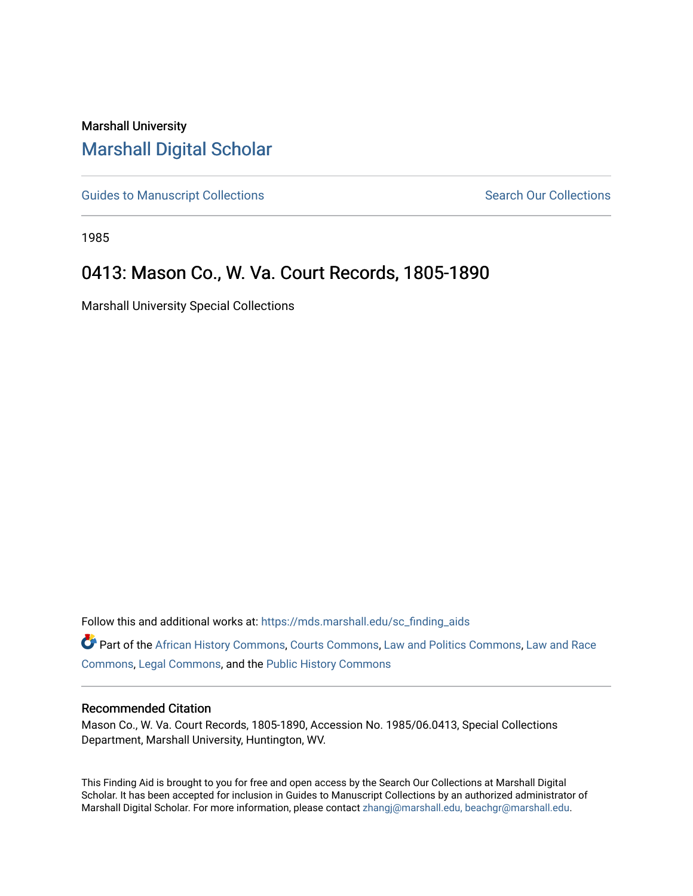## Marshall University [Marshall Digital Scholar](https://mds.marshall.edu/)

[Guides to Manuscript Collections](https://mds.marshall.edu/sc_finding_aids) **Search Our Collections** Search Our Collections

1985

# 0413: Mason Co., W. Va. Court Records, 1805-1890

Marshall University Special Collections

Follow this and additional works at: [https://mds.marshall.edu/sc\\_finding\\_aids](https://mds.marshall.edu/sc_finding_aids?utm_source=mds.marshall.edu%2Fsc_finding_aids%2F230&utm_medium=PDF&utm_campaign=PDFCoverPages) 

Part of the [African History Commons](http://network.bepress.com/hgg/discipline/490?utm_source=mds.marshall.edu%2Fsc_finding_aids%2F230&utm_medium=PDF&utm_campaign=PDFCoverPages), [Courts Commons,](http://network.bepress.com/hgg/discipline/839?utm_source=mds.marshall.edu%2Fsc_finding_aids%2F230&utm_medium=PDF&utm_campaign=PDFCoverPages) [Law and Politics Commons,](http://network.bepress.com/hgg/discipline/867?utm_source=mds.marshall.edu%2Fsc_finding_aids%2F230&utm_medium=PDF&utm_campaign=PDFCoverPages) [Law and Race](http://network.bepress.com/hgg/discipline/1300?utm_source=mds.marshall.edu%2Fsc_finding_aids%2F230&utm_medium=PDF&utm_campaign=PDFCoverPages) [Commons](http://network.bepress.com/hgg/discipline/1300?utm_source=mds.marshall.edu%2Fsc_finding_aids%2F230&utm_medium=PDF&utm_campaign=PDFCoverPages), [Legal Commons](http://network.bepress.com/hgg/discipline/502?utm_source=mds.marshall.edu%2Fsc_finding_aids%2F230&utm_medium=PDF&utm_campaign=PDFCoverPages), and the [Public History Commons](http://network.bepress.com/hgg/discipline/1292?utm_source=mds.marshall.edu%2Fsc_finding_aids%2F230&utm_medium=PDF&utm_campaign=PDFCoverPages) 

### Recommended Citation

Mason Co., W. Va. Court Records, 1805-1890, Accession No. 1985/06.0413, Special Collections Department, Marshall University, Huntington, WV.

This Finding Aid is brought to you for free and open access by the Search Our Collections at Marshall Digital Scholar. It has been accepted for inclusion in Guides to Manuscript Collections by an authorized administrator of Marshall Digital Scholar. For more information, please contact [zhangj@marshall.edu, beachgr@marshall.edu](mailto:zhangj@marshall.edu,%20beachgr@marshall.edu).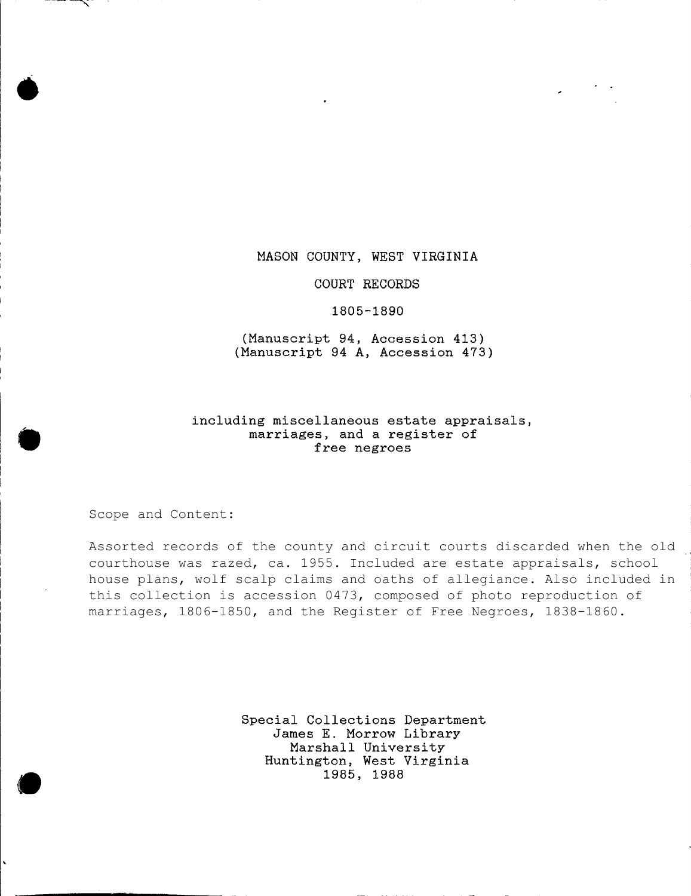#### **MASON COUNTY, WEST VIRGINIA**

#### **COURT RECORDS**

#### **1805-1890**

**(Manuscript 94, Accession 413) (Manuscript 94 A, Accession 473)**

### **including miscellaneous estate appraisals marriages, and a register of free negroes**

Scope and Content:

Assorted records of the county and circuit courts discarded when the old courthouse was razed, ca. 1955. Included are estate appraisals, school house plans, wolf scalp claims and oaths of allegiance. Also included in this collection is accession 0473, composed of photo reproduction of marriages, 1806-1850, and the Register of Free Negroes, 1838-1860.

> **Special Collections Department James E. Morrow Library Marshall University Huntington, West Virginia 1985, 1988**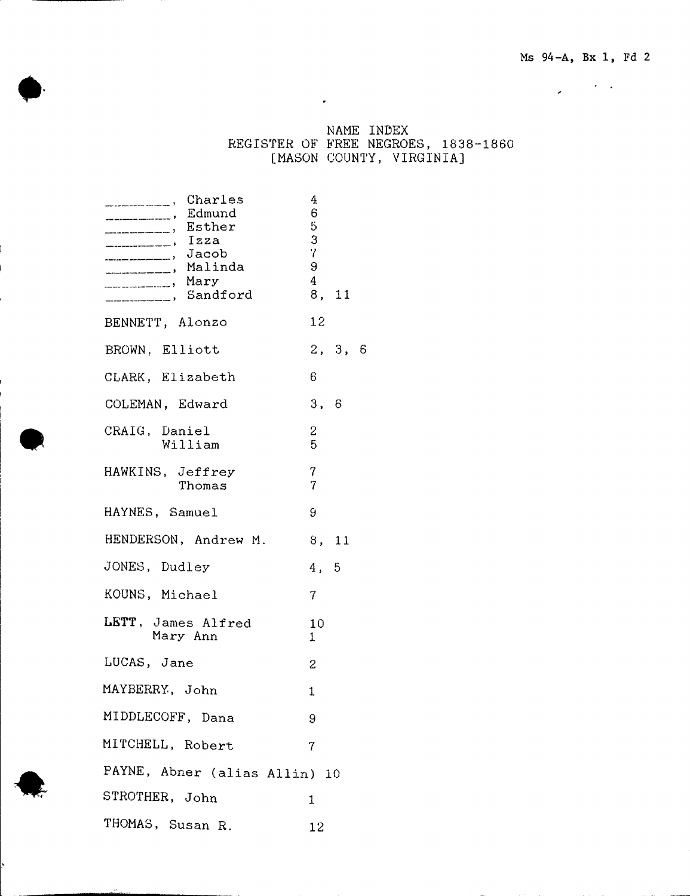$\mathcal{L}_{\mathcal{A}}$  , where  $\mathcal{L}_{\mathcal{A}}$ 

**NAME INDEX REGISTER OF FREE NEGROES, 1838-1860 [MASON COUNTY, VIRGINIA]**

 $\sim 10^{-10}$  km s  $^{-1}$ 

| Charles<br>Edmund<br><b>Esther</b> , Esther<br>Izza<br>Jacob Jacob<br>____________, Malinda<br><b>Mary</b> , Mary<br>__________, Sandford | 4<br>6<br>5<br>3<br>7<br>9<br>4 | 8, 11   |  |
|-------------------------------------------------------------------------------------------------------------------------------------------|---------------------------------|---------|--|
| BENNETT, Alonzo                                                                                                                           | 12 <sup>1</sup>                 |         |  |
| BROWN, Elliott                                                                                                                            |                                 | 2, 3, 6 |  |
| CLARK, Elizabeth                                                                                                                          | 6.                              |         |  |
| COLEMAN, Edward                                                                                                                           | 3, 6                            |         |  |
| CRAIG, Daniel<br>William                                                                                                                  | 2<br>5                          |         |  |
| HAWKINS, Jeffrey<br>Thomas                                                                                                                | 7<br>7                          |         |  |
| HAYNES, Samuel                                                                                                                            | 9                               |         |  |
| HENDERSON, Andrew M.                                                                                                                      | 8, 11                           |         |  |
| JONES, Dudley                                                                                                                             | 4, 5                            |         |  |
| KOUNS, Michael                                                                                                                            | $\mathcal{T}$                   |         |  |
| LETT, James Alfred<br>Mary Ann                                                                                                            | 10<br>$\mathbf{1}$              |         |  |
| LUCAS, Jane                                                                                                                               | 2                               |         |  |
| MAYBERRY, John                                                                                                                            | $\mathbf{1}$                    |         |  |
| MIDDLECOFF, Dana                                                                                                                          | 9                               |         |  |
| MITCHELL, Robert                                                                                                                          | 7                               |         |  |
| PAYNE, Abner (alias Allin) 10                                                                                                             |                                 |         |  |
| STROTHER, John                                                                                                                            | 1                               |         |  |
| THOMAS, Susan R.                                                                                                                          | 12                              |         |  |

*i*

I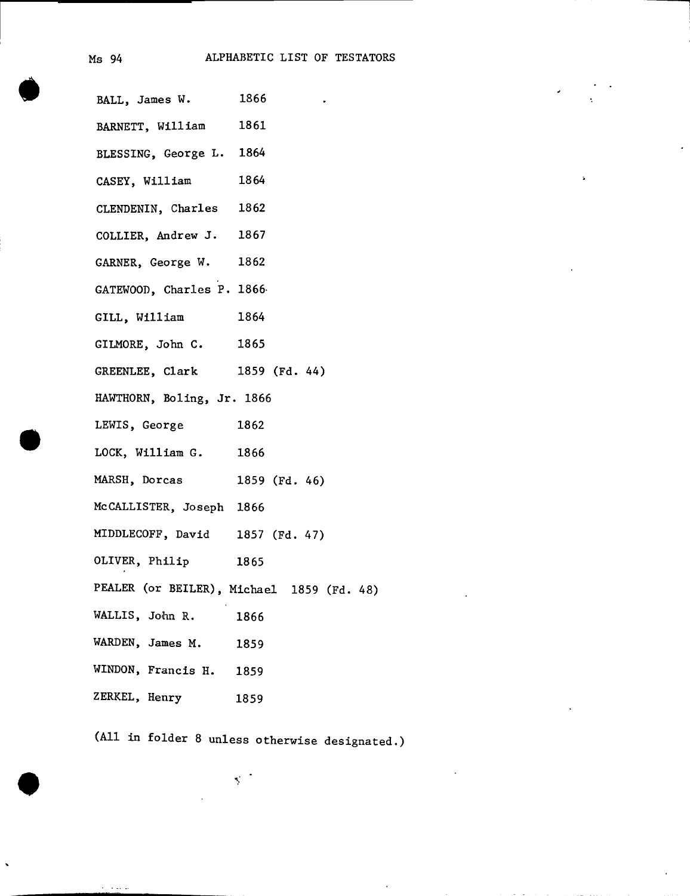**BALL, James W. 1866 BARNETT, William 1861 BLESSING, George L. 1864 CASEY, William 1864 CLENDENIN, Charles 1862 COLLIER, Andrew J. 1867 GARNER, George W. 1862 GATEWOOD, Charles P. 1866- GILL, William 1864 GILMORE, John C. 1865 GREENLEE, Clark 1859 (Fd. 44) HAWTHORN, Boling, Jr. 1866 LEWIS, George 1862 LOCK, William G. 1866 MARSH, Dorcas 1859 (Fd. 46) McCALLISTER, Joseph 1866 MIDDLECOFF, David 1857 (Fd. 47) OLIVER, Philip 1865 PEALER (or BEILER), Michael 1859 (Fd. 48) WALLIS, John R. 1866 WARDEN, James M. 1859 WINDON, Francis H. 1859 Z ERKEL, Henry 1859**

**(All in folder 8 unless otherwise designated.)**

 $\lesssim$  .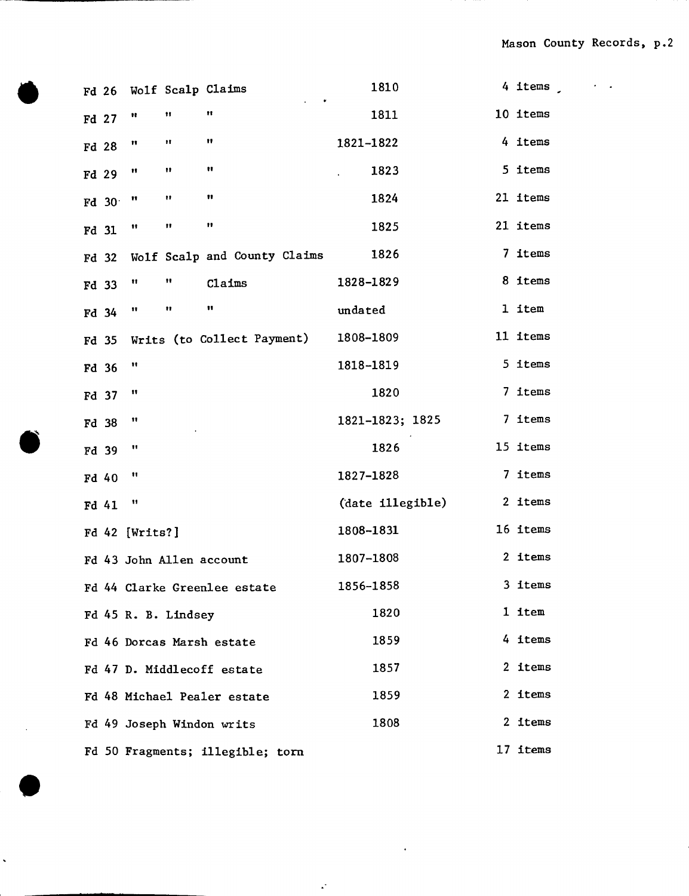**Fd 26 Wolf Scalp Claims Fd** 27  $^{\prime\prime}$  11 11 **Fd** 28  $^{\prime\prime}$   $^{\prime\prime}$   $^{\prime\prime}$   $^{\prime\prime}$   $^{\prime\prime}$ **Fd** 29  $^{\prime\prime}$  11 11 **Fd** 30  $^n$   $\cdots$   $\cdots$   $\cdots$ **Fd** 31  $\blacksquare$   $\blacksquare$   $\blacksquare$   $\blacksquare$ **Fd 32 Wolf Scalp and County Claims Fd 33** II II **Claims Fd** 34  $^{\prime\prime}$  11 11 **Fd 35 Writs (to Collect Payment) Fd 36** II **Fd 37** II **Fd 38** It **Fd 39** It **Fd 40** II **Fd 41** II **Fd 42 [Writs?] Fd 43 John Allen account Fd 44 Clarke Greenlee estate Fd 45 R. B. Lindsey Fd 46 Dorcas Marsh estate Fd 47 D- Middlecoff estate Fd 48 Michael Pealer estate Fd 49 Joseph Windon writs Fd 50 Fragments; illegible; tom 1810 4 items 1811 10 items 1821-1822 4 items 1823 5 items 1824 21 items 1825 21 items 1826 7 items 1828-1829 8 items undated 1 item 1808-1809 11 items 1818-1819 5 items 1820 7 items 1821-1823; 1825 7 items 1826 15 items 1827-1828 7 items (date illegible) 2 items 1808-1831 16 items 1807-1808 2 items 1856-1858 3 items 1820 1 item 1859 4 items 1857 2 items 1859 2 items 1808 2 items** 17 items

 $\ddot{\phantom{a}}$